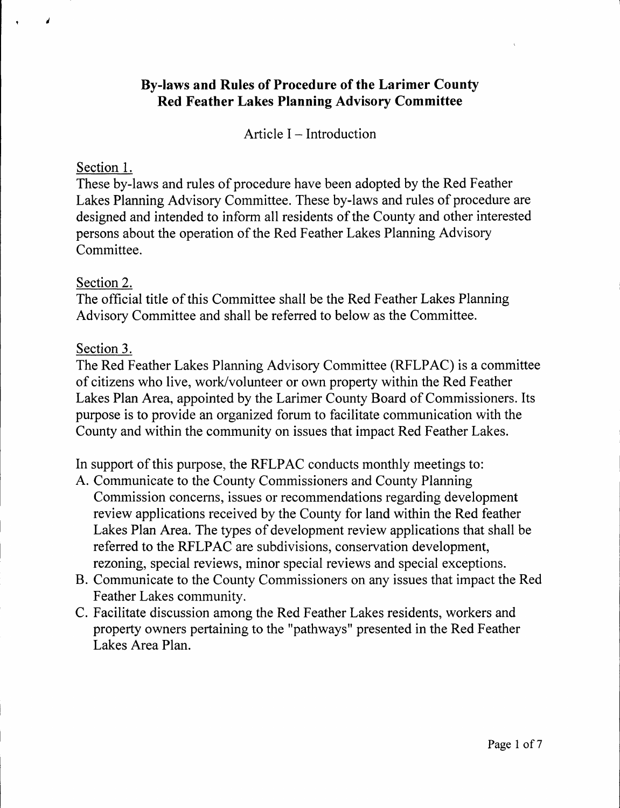## **By-laws and Rules of Procedure of the Larimer County Red Feather Lakes Planning Advisory Committee**

Article  $I - Introduction$ 

#### Section 1.

¥.

These by-laws and rules of procedure have been adopted by the Red Feather Lakes Planning Advisory Committee. These by-laws and rules of procedure are designed and intended to inform all residents of the County and other interested persons about the operation of the Red Feather Lakes Planning Advisory Committee.

### Section 2.

The official title of this Committee shall be the Red Feather Lakes Planning Advisory Committee and shall be referred to below as the Committee.

### Section 3.

The Red Feather Lakes Planning Advisory Committee (RFLPAC) is a committee of citizens who live, work/volunteer or own property within the Red Feather Lakes Plan Area, appointed by the Larimer County Board of Commissioners. Its purpose is to provide an organized forum to facilitate communication with the County and within the community on issues that impact Red Feather Lakes.

In support of this purpose, the RFLPAC conducts monthly meetings to:

- A. Communicate to the County Commissioners and County Planning Commission concerns, issues or recommendations regarding development review applications received by the County for land within the Red feather Lakes Plan Area. The types of development review applications that shall be referred to the RFLPAC are subdivisions, conservation development, rezoning, special reviews, minor special reviews and special exceptions.
- B. Communicate to the County Commissioners on any issues that impact the Red Feather Lakes community.
- C. Facilitate discussion among the Red Feather Lakes residents, workers and property owners pertaining to the "pathways" presented in the Red Feather Lakes Area Plan.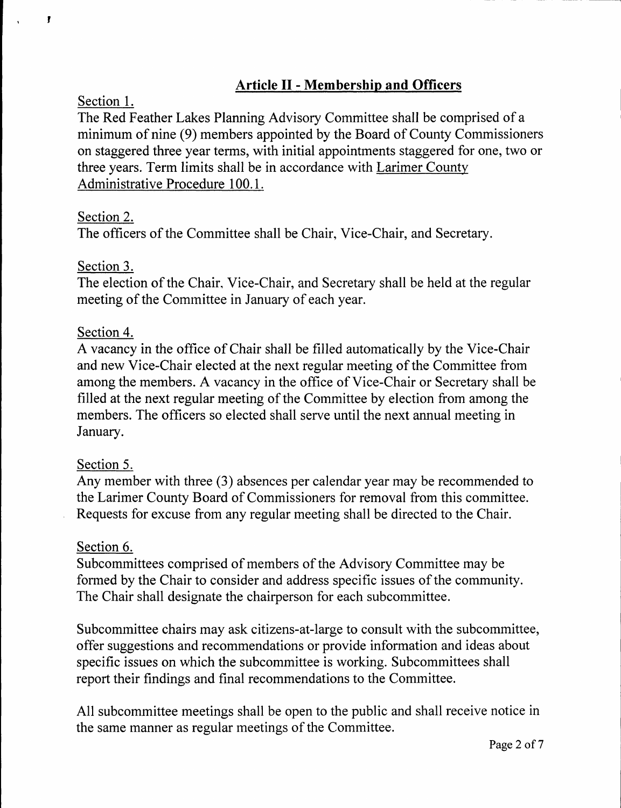# **Article II - Membership and Officers**

#### Section 1.

,

The Red Feather Lakes Planning Advisory Committee shall be comprised of a minimum of nine (9) members appointed by the Board of County Commissioners on staggered three year terms, with initial appointments staggered for one, two or three years. Term limits shall be in accordance with Larimer County Administrative Procedure 100.1.

## Section 2.

The officers of the Committee shall be Chair, Vice-Chair, and Secretary.

## Section 3.

The election of the Chair. Vice-Chair, and Secretary shall be held at the regular meeting of the Committee in January of each year.

## Section 4.

A vacancy in the office of Chair shall be filled automatically by the Vice-Chair and new Vice-Chair elected at the next regular meeting of the Committee from among the members. A vacancy in the office of Vice-Chair or Secretary shall be filled at the next regular meeting of the Committee by election from among the members. The officers so elected shall serve until the next annual meeting in January.

### Section 5.

Any member with three (3) absences per calendar year may be recommended to the Larimer County Board of Commissioners for removal from this committee. Requests for excuse from any regular meeting shall be directed to the Chair.

### Section 6.

Subcommittees comprised of members of the Advisory Committee may be formed by the Chair to consider and address specific issues of the community. The Chair shall designate the chairperson for each subcommittee.

Subcommittee chairs may ask citizens-at-large to consult with the subcommittee, offer suggestions and recommendations or provide information and ideas about specific issues on which the subcommittee is working. Subcommittees shall report their findings and final recommendations to the Committee.

All subcommittee meetings shall be open to the public and shall receive notice in the same manner as regular meetings of the Committee.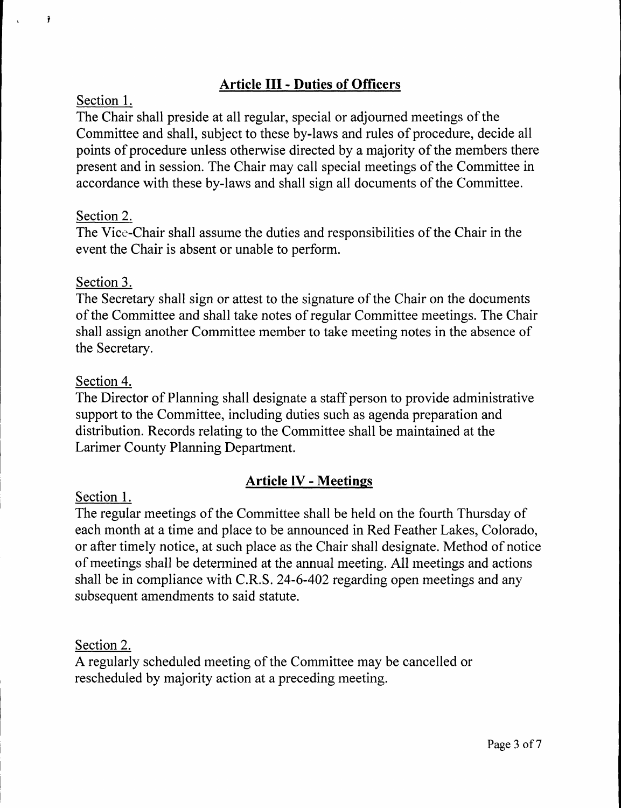## **Article** III - **Duties of Officers**

#### Section 1.

 $\tilde{\mathbf{r}}$ 

The Chair shall preside at all regular, special or adjourned meetings of the Committee and shall, subject to these by-laws and rules of procedure, decide all points of procedure unless otherwise directed by a majority of the members there present and in session. The Chair may call special meetings of the Committee in accordance with these by-laws and shall sign all documents of the Committee.

## Section 2.

The Vice-Chair shall assume the duties and responsibilities of the Chair in the event the Chair is absent or unable to perform.

## Section 3.

The Secretary shall sign or attest to the signature of the Chair on the documents of the Committee and shall take notes ofregular Committee meetings. The Chair shall assign another Committee member to take meeting notes in the absence of the Secretary.

### Section 4.

The Director of Planning shall designate a staff person to provide administrative support to the Committee, including duties such as agenda preparation and distribution. Records relating to the Committee shall be maintained at the Larimer County Planning Department.

## **Article IV** - **Meetings**

### Section 1.

The regular meetings of the Committee shall be held on the fourth Thursday of each month at a time and place to be announced in Red Feather Lakes, Colorado, or after timely notice, at such place as the Chair shall designate. Method of notice of meetings shall be determined at the annual meeting. All meetings and actions shall be in compliance with C.R.S. 24-6-402 regarding open meetings and any subsequent amendments to said statute.

### Section 2.

A regularly scheduled meeting of the Committee may be cancelled or rescheduled by majority action at a preceding meeting.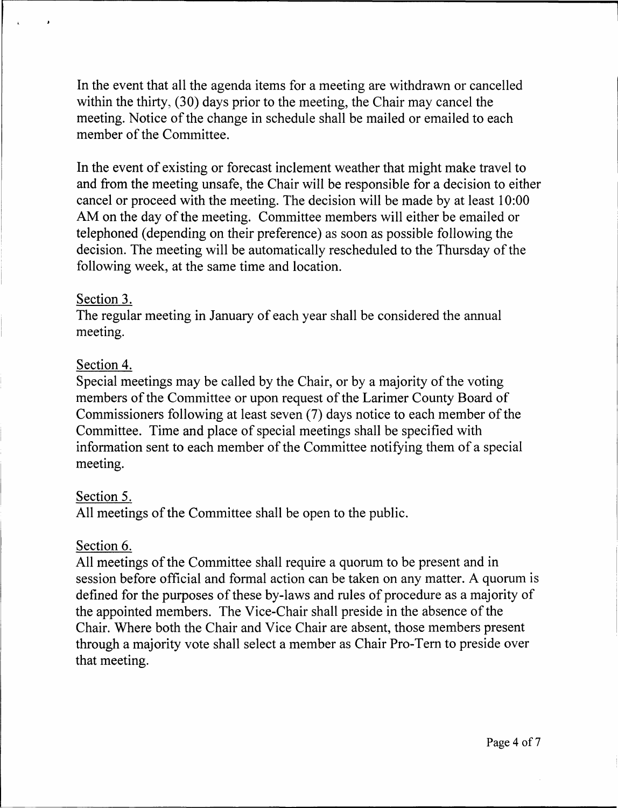In the event that all the agenda items for a meeting are withdrawn or cancelled within the thirty, (30) days prior to the meeting, the Chair may cancel the meeting. Notice of the change in schedule shall be mailed or emailed to each member of the Committee.

In the event of existing or forecast inclement weather that might make travel to and from the meeting unsafe, the Chair will be responsible for a decision to either cancel or proceed with the meeting. The decision will be made by at least 10:00 AM on the day of the meeting. Committee members will either be emailed or telephoned ( depending on their preference) as soon as possible following the decision. The meeting will be automatically rescheduled to the Thursday of the following week, at the same time and location.

### Section 3.

The regular meeting in January of each year shall be considered the annual meeting.

## Section 4.

Special meetings may be called by the Chair, or by a majority of the voting members of the Committee or upon request of the Larimer County Board of Commissioners following at least seven (7) days notice to each member of the Committee. Time and place of special meetings shall be specified with information sent to each member of the Committee notifying them of a special meeting.

### Section 5.

All meetings of the Committee shall be open to the public.

### Section 6.

All meetings of the Committee shall require a quorum to be present and in session before official and formal action can be taken on any matter. A quorum is defined for the purposes of these by-laws and rules of procedure as a majority of the appointed members. The Vice-Chair shall preside in the absence of the Chair. Where both the Chair and Vice Chair are absent, those members present through a majority vote shall select a member as Chair Pro-Tern to preside over that meeting.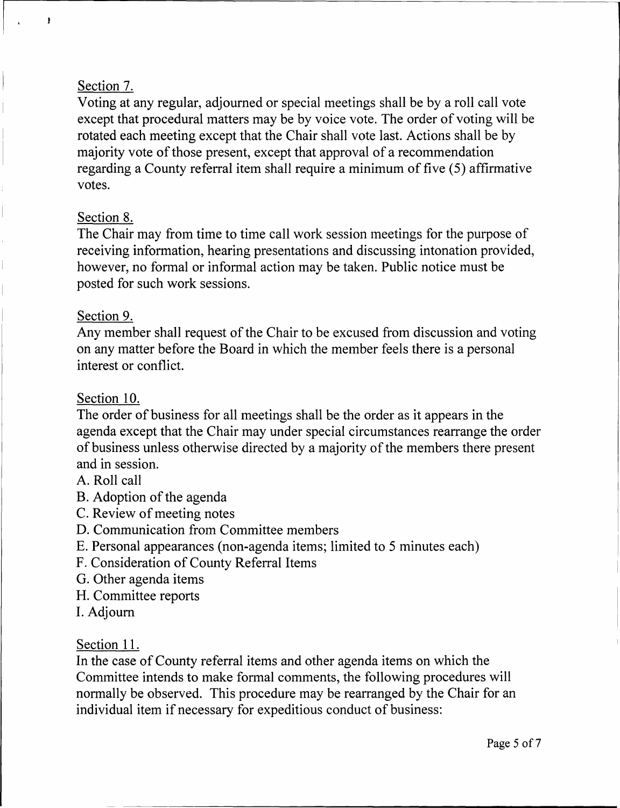## Section 7.

 $\mathbf{I}$ 

Voting at any regular, adjourned or special meetings shall be by a roll call vote except that procedural matters may be by voice vote. The order of voting will be rotated each meeting except that the Chair shall vote last. Actions shall be by majority vote of those present, except that approval of a recommendation regarding a County referral item shall require a minimum of five (5) affirmative votes.

## Section 8.

The Chair may from time to time call work session meetings for the purpose of receiving information, hearing presentations and discussing intonation provided, however, no formal or informal action may be taken. Public notice must be posted for such work sessions.

### Section 9.

Any member shall request of the Chair to be excused from discussion and voting on any matter before the Board in which the member feels there is a personal interest or conflict.

## Section 10.

The order of business for all meetings shall be the order as it appears in the agenda except that the Chair may under special circumstances rearrange the order of business unless otherwise directed by a majority of the members there present and in session.

- A. Roll call
- B. Adoption of the agenda
- C. Review of meeting notes
- D. Communication from Committee members
- E. Personal appearances (non-agenda items; limited to 5 minutes each)
- F. Consideration of County Referral Items
- G. Other agenda items
- H. Committee reports
- I. Adjourn

### Section 11.

In the case of County referral items and other agenda items on which the Committee intends to make formal comments, the following procedures will normally be observed. This procedure may be rearranged by the Chair for an individual item if necessary for expeditious conduct of business: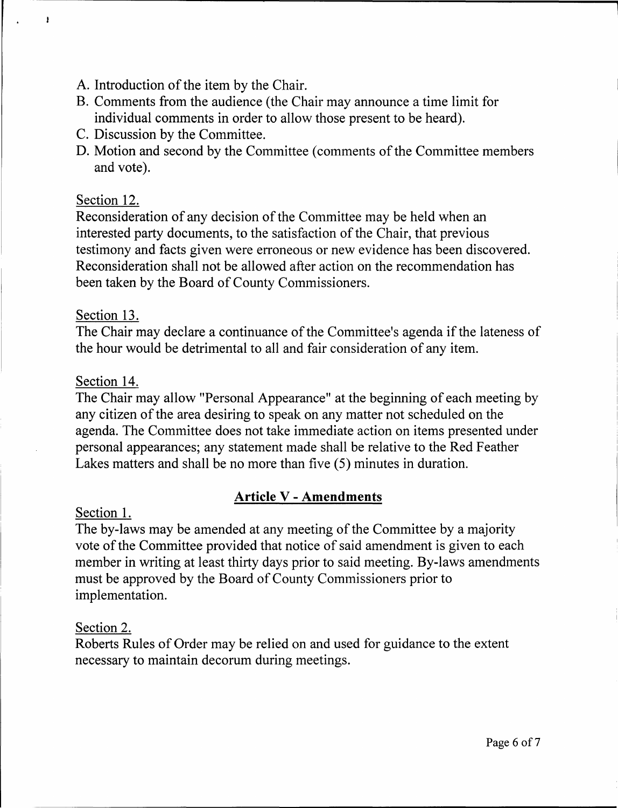- A. Introduction of the item by the Chair.
- B. Comments from the audience (the Chair may announce a time limit for individual comments in order to allow those present to be heard).
- C. Discussion by the Committee.
- D. Motion and second by the Committee (comments of the Committee members and vote).

## Section 12.

 $\mathbf{I}$ 

Reconsideration of any decision of the Committee may be held when an interested party documents, to the satisfaction of the Chair, that previous testimony and facts given were erroneous or new evidence has been discovered. Reconsideration shall not be allowed after action on the recommendation has been taken by the Board of County Commissioners.

## Section 13.

The Chair may declare a continuance of the Committee's agenda if the lateness of the hour would be detrimental to all and fair consideration of any item.

## Section 14.

The Chair may allow "Personal Appearance" at the beginning of each meeting by any citizen of the area desiring to speak on any matter not scheduled on the agenda. The Committee does not take immediate action on items presented under personal appearances; any statement made shall be relative to the Red Feather Lakes matters and shall be no more than five (5) minutes in duration.

# **Article V - Amendments**

### Section 1.

The by-laws may be amended at any meeting of the Committee by a majority vote of the Committee provided that notice of said amendment is given to each member in writing at least thirty days prior to said meeting. By-laws amendments must be approved by the Board of County Commissioners prior to implementation.

## Section 2.

Roberts Rules of Order may be relied on and used for guidance to the extent necessary to maintain decorum during meetings.